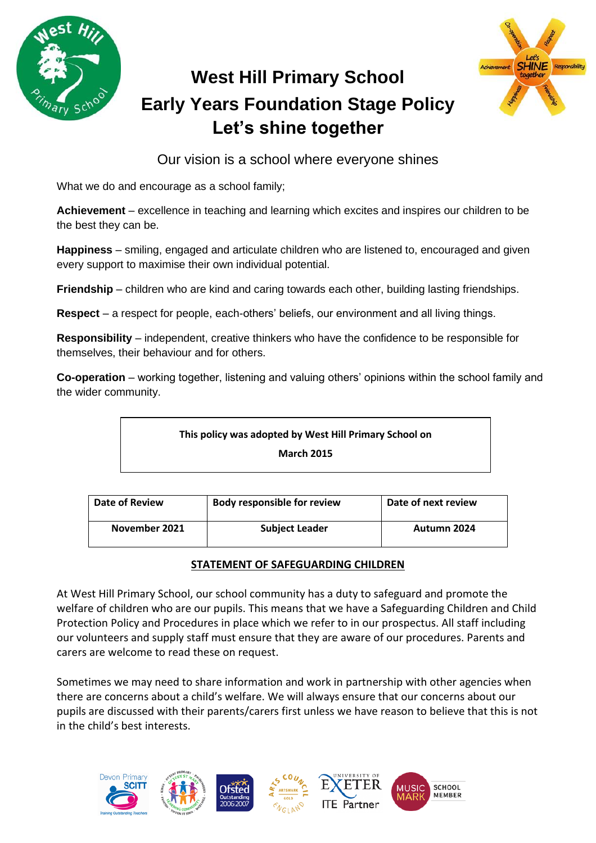

# **West Hill Primary School Early Years Foundation Stage Policy Let's shine together**



Our vision is a school where everyone shines

What we do and encourage as a school family;

**Achievement** – excellence in teaching and learning which excites and inspires our children to be the best they can be.

**Happiness** – smiling, engaged and articulate children who are listened to, encouraged and given every support to maximise their own individual potential.

**Friendship** – children who are kind and caring towards each other, building lasting friendships.

**Respect** – a respect for people, each-others' beliefs, our environment and all living things.

**Responsibility** – independent, creative thinkers who have the confidence to be responsible for themselves, their behaviour and for others.

**Co-operation** – working together, listening and valuing others' opinions within the school family and the wider community.

**This policy was adopted by West Hill Primary School on March 2015**

| Date of Review | <b>Body responsible for review</b> | Date of next review |
|----------------|------------------------------------|---------------------|
| November 2021  | <b>Subject Leader</b>              | Autumn 2024         |

# **STATEMENT OF SAFEGUARDING CHILDREN**

At West Hill Primary School, our school community has a duty to safeguard and promote the welfare of children who are our pupils. This means that we have a Safeguarding Children and Child Protection Policy and Procedures in place which we refer to in our prospectus. All staff including our volunteers and supply staff must ensure that they are aware of our procedures. Parents and carers are welcome to read these on request.

Sometimes we may need to share information and work in partnership with other agencies when there are concerns about a child's welfare. We will always ensure that our concerns about our pupils are discussed with their parents/carers first unless we have reason to believe that this is not in the child's best interests.

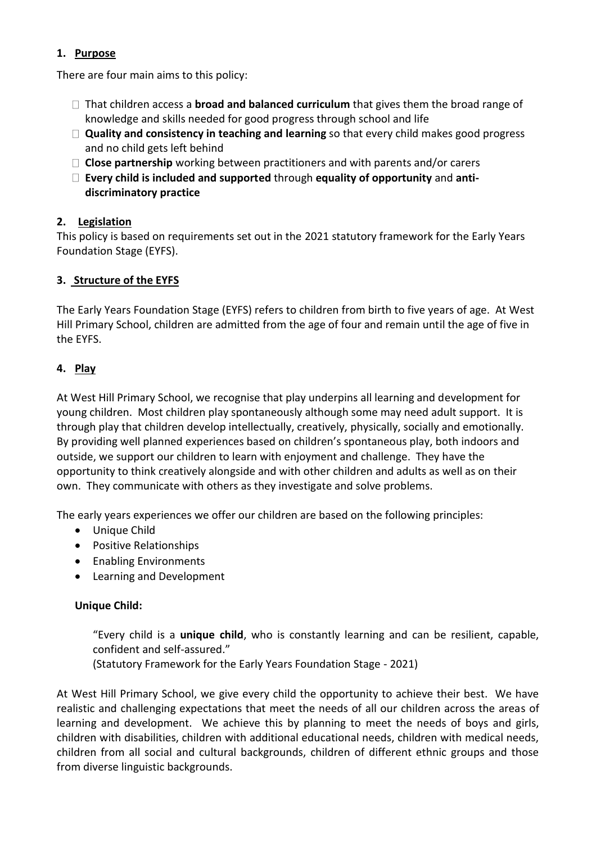## **1. Purpose**

There are four main aims to this policy:

- $\Box$  That children access a **broad and balanced curriculum** that gives them the broad range of knowledge and skills needed for good progress through school and life
- **Quality and consistency in teaching and learning** so that every child makes good progress and no child gets left behind
- **Close partnership** working between practitioners and with parents and/or carers
- **Every child is included and supported** through **equality of opportunity** and **antidiscriminatory practice**

## **2. Legislation**

This policy is based on requirements set out in the [2021 statutory framework for the Early Years](https://www.gov.uk/government/uploads/system/uploads/attachment_data/file/596629/EYFS_STATUTORY_FRAMEWORK_2017.pdf)  Foundation [Stage \(EYFS\).](https://www.gov.uk/government/uploads/system/uploads/attachment_data/file/596629/EYFS_STATUTORY_FRAMEWORK_2017.pdf) 

## **3. Structure of the EYFS**

The Early Years Foundation Stage (EYFS) refers to children from birth to five years of age. At West Hill Primary School, children are admitted from the age of four and remain until the age of five in the EYFS.

## **4. Play**

At West Hill Primary School, we recognise that play underpins all learning and development for young children. Most children play spontaneously although some may need adult support. It is through play that children develop intellectually, creatively, physically, socially and emotionally. By providing well planned experiences based on children's spontaneous play, both indoors and outside, we support our children to learn with enjoyment and challenge. They have the opportunity to think creatively alongside and with other children and adults as well as on their own. They communicate with others as they investigate and solve problems.

The early years experiences we offer our children are based on the following principles:

- Unique Child
- Positive Relationships
- Enabling Environments
- Learning and Development

#### **Unique Child:**

"Every child is a **unique child**, who is constantly learning and can be resilient, capable, confident and self-assured."

(Statutory Framework for the Early Years Foundation Stage - 2021)

At West Hill Primary School, we give every child the opportunity to achieve their best. We have realistic and challenging expectations that meet the needs of all our children across the areas of learning and development. We achieve this by planning to meet the needs of boys and girls, children with disabilities, children with additional educational needs, children with medical needs, children from all social and cultural backgrounds, children of different ethnic groups and those from diverse linguistic backgrounds.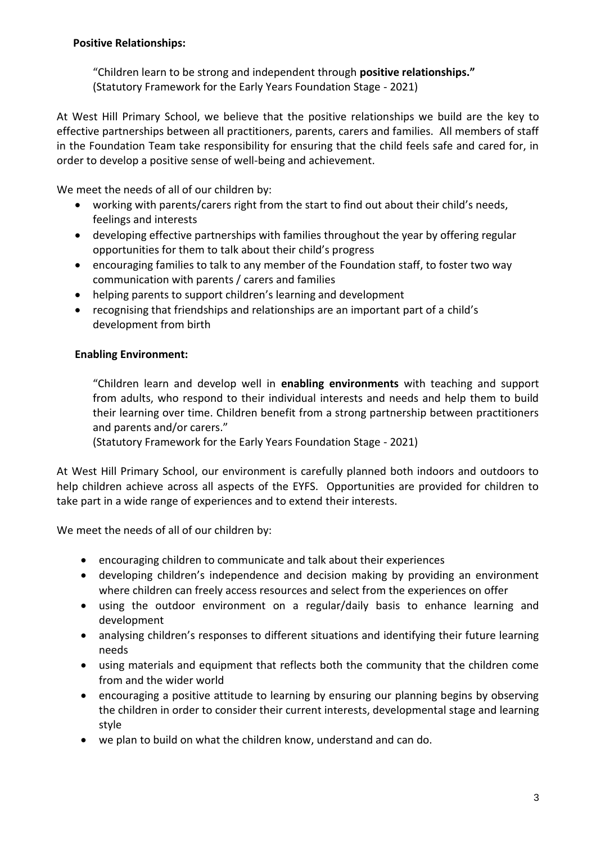#### **Positive Relationships:**

"Children learn to be strong and independent through **positive relationships."** (Statutory Framework for the Early Years Foundation Stage - 2021)

At West Hill Primary School, we believe that the positive relationships we build are the key to effective partnerships between all practitioners, parents, carers and families. All members of staff in the Foundation Team take responsibility for ensuring that the child feels safe and cared for, in order to develop a positive sense of well-being and achievement.

We meet the needs of all of our children by:

- working with parents/carers right from the start to find out about their child's needs, feelings and interests
- developing effective partnerships with families throughout the year by offering regular opportunities for them to talk about their child's progress
- encouraging families to talk to any member of the Foundation staff, to foster two way communication with parents / carers and families
- helping parents to support children's learning and development
- recognising that friendships and relationships are an important part of a child's development from birth

## **Enabling Environment:**

"Children learn and develop well in **enabling environments** with teaching and support from adults, who respond to their individual interests and needs and help them to build their learning over time. Children benefit from a strong partnership between practitioners and parents and/or carers."

(Statutory Framework for the Early Years Foundation Stage - 2021)

At West Hill Primary School, our environment is carefully planned both indoors and outdoors to help children achieve across all aspects of the EYFS. Opportunities are provided for children to take part in a wide range of experiences and to extend their interests.

We meet the needs of all of our children by:

- encouraging children to communicate and talk about their experiences
- developing children's independence and decision making by providing an environment where children can freely access resources and select from the experiences on offer
- using the outdoor environment on a regular/daily basis to enhance learning and development
- analysing children's responses to different situations and identifying their future learning needs
- using materials and equipment that reflects both the community that the children come from and the wider world
- encouraging a positive attitude to learning by ensuring our planning begins by observing the children in order to consider their current interests, developmental stage and learning style
- we plan to build on what the children know, understand and can do.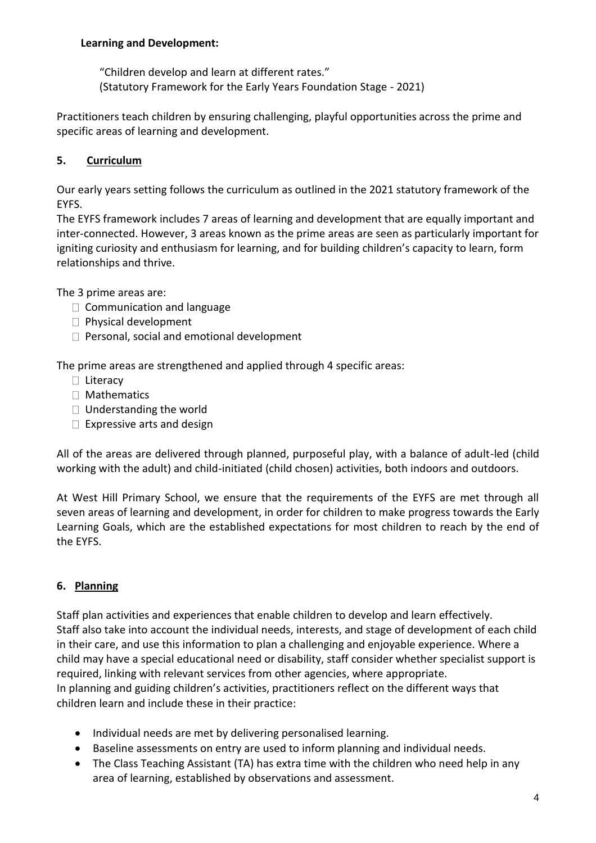## **Learning and Development:**

"Children develop and learn at different rates." (Statutory Framework for the Early Years Foundation Stage - 2021)

Practitioners teach children by ensuring challenging, playful opportunities across the prime and specific areas of learning and development.

## **5. Curriculum**

Our early years setting follows the curriculum as outlined in the 2021 statutory framework of the EYFS.

The EYFS framework includes 7 areas of learning and development that are equally important and inter-connected. However, 3 areas known as the prime areas are seen as particularly important for igniting curiosity and enthusiasm for learning, and for building children's capacity to learn, form relationships and thrive.

The 3 prime areas are:

- $\Box$  Communication and language
- $\Box$  Physical development
- $\Box$  Personal, social and emotional development

The prime areas are strengthened and applied through 4 specific areas:

- □ Literacy
- □ Mathematics
- $\Box$  Understanding the world
- $\Box$  Expressive arts and design

All of the areas are delivered through planned, purposeful play, with a balance of adult-led (child working with the adult) and child-initiated (child chosen) activities, both indoors and outdoors.

At West Hill Primary School, we ensure that the requirements of the EYFS are met through all seven areas of learning and development, in order for children to make progress towards the Early Learning Goals, which are the established expectations for most children to reach by the end of the EYFS.

## **6. Planning**

Staff plan activities and experiences that enable children to develop and learn effectively. Staff also take into account the individual needs, interests, and stage of development of each child in their care, and use this information to plan a challenging and enjoyable experience. Where a child may have a special educational need or disability, staff consider whether specialist support is required, linking with relevant services from other agencies, where appropriate. In planning and guiding children's activities, practitioners reflect on the different ways that children learn and include these in their practice:

- Individual needs are met by delivering personalised learning.
- Baseline assessments on entry are used to inform planning and individual needs.
- The Class Teaching Assistant (TA) has extra time with the children who need help in any area of learning, established by observations and assessment.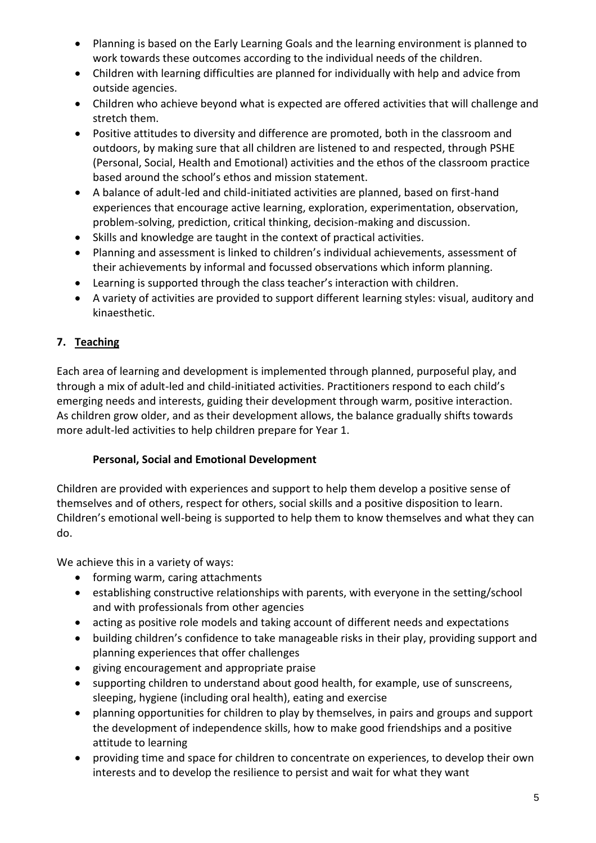- Planning is based on the Early Learning Goals and the learning environment is planned to work towards these outcomes according to the individual needs of the children.
- Children with learning difficulties are planned for individually with help and advice from outside agencies.
- Children who achieve beyond what is expected are offered activities that will challenge and stretch them.
- Positive attitudes to diversity and difference are promoted, both in the classroom and outdoors, by making sure that all children are listened to and respected, through PSHE (Personal, Social, Health and Emotional) activities and the ethos of the classroom practice based around the school's ethos and mission statement.
- A balance of adult-led and child-initiated activities are planned, based on first-hand experiences that encourage active learning, exploration, experimentation, observation, problem-solving, prediction, critical thinking, decision-making and discussion.
- Skills and knowledge are taught in the context of practical activities.
- Planning and assessment is linked to children's individual achievements, assessment of their achievements by informal and focussed observations which inform planning.
- Learning is supported through the class teacher's interaction with children.
- A variety of activities are provided to support different learning styles: visual, auditory and kinaesthetic.

# **7. Teaching**

Each area of learning and development is implemented through planned, purposeful play, and through a mix of adult-led and child-initiated activities. Practitioners respond to each child's emerging needs and interests, guiding their development through warm, positive interaction. As children grow older, and as their development allows, the balance gradually shifts towards more adult-led activities to help children prepare for Year 1.

## **Personal, Social and Emotional Development**

Children are provided with experiences and support to help them develop a positive sense of themselves and of others, respect for others, social skills and a positive disposition to learn. Children's emotional well-being is supported to help them to know themselves and what they can do.

We achieve this in a variety of ways:

- forming warm, caring attachments
- establishing constructive relationships with parents, with everyone in the setting/school and with professionals from other agencies
- acting as positive role models and taking account of different needs and expectations
- building children's confidence to take manageable risks in their play, providing support and planning experiences that offer challenges
- giving encouragement and appropriate praise
- supporting children to understand about good health, for example, use of sunscreens, sleeping, hygiene (including oral health), eating and exercise
- planning opportunities for children to play by themselves, in pairs and groups and support the development of independence skills, how to make good friendships and a positive attitude to learning
- providing time and space for children to concentrate on experiences, to develop their own interests and to develop the resilience to persist and wait for what they want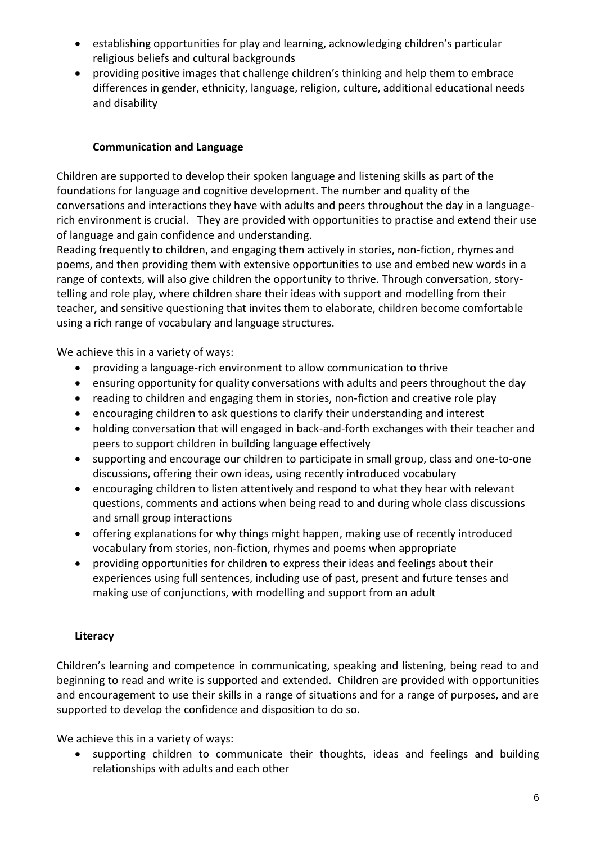- establishing opportunities for play and learning, acknowledging children's particular religious beliefs and cultural backgrounds
- providing positive images that challenge children's thinking and help them to embrace differences in gender, ethnicity, language, religion, culture, additional educational needs and disability

## **Communication and Language**

Children are supported to develop their spoken language and listening skills as part of the foundations for language and cognitive development. The number and quality of the conversations and interactions they have with adults and peers throughout the day in a languagerich environment is crucial. They are provided with opportunities to practise and extend their use of language and gain confidence and understanding.

Reading frequently to children, and engaging them actively in stories, non-fiction, rhymes and poems, and then providing them with extensive opportunities to use and embed new words in a range of contexts, will also give children the opportunity to thrive. Through conversation, storytelling and role play, where children share their ideas with support and modelling from their teacher, and sensitive questioning that invites them to elaborate, children become comfortable using a rich range of vocabulary and language structures.

We achieve this in a variety of ways:

- providing a language-rich environment to allow communication to thrive
- ensuring opportunity for quality conversations with adults and peers throughout the day
- reading to children and engaging them in stories, non-fiction and creative role play
- encouraging children to ask questions to clarify their understanding and interest
- holding conversation that will engaged in back-and-forth exchanges with their teacher and peers to support children in building language effectively
- supporting and encourage our children to participate in small group, class and one-to-one discussions, offering their own ideas, using recently introduced vocabulary
- encouraging children to listen attentively and respond to what they hear with relevant questions, comments and actions when being read to and during whole class discussions and small group interactions
- offering explanations for why things might happen, making use of recently introduced vocabulary from stories, non-fiction, rhymes and poems when appropriate
- providing opportunities for children to express their ideas and feelings about their experiences using full sentences, including use of past, present and future tenses and making use of conjunctions, with modelling and support from an adult

# **Literacy**

Children's learning and competence in communicating, speaking and listening, being read to and beginning to read and write is supported and extended. Children are provided with opportunities and encouragement to use their skills in a range of situations and for a range of purposes, and are supported to develop the confidence and disposition to do so.

We achieve this in a variety of ways:

supporting children to communicate their thoughts, ideas and feelings and building relationships with adults and each other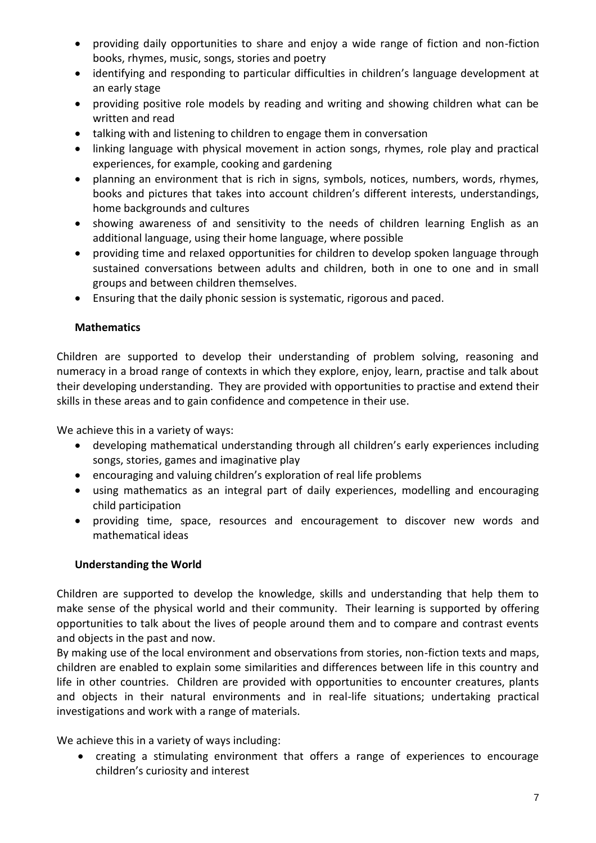- providing daily opportunities to share and enjoy a wide range of fiction and non-fiction books, rhymes, music, songs, stories and poetry
- identifying and responding to particular difficulties in children's language development at an early stage
- providing positive role models by reading and writing and showing children what can be written and read
- talking with and listening to children to engage them in conversation
- linking language with physical movement in action songs, rhymes, role play and practical experiences, for example, cooking and gardening
- planning an environment that is rich in signs, symbols, notices, numbers, words, rhymes, books and pictures that takes into account children's different interests, understandings, home backgrounds and cultures
- showing awareness of and sensitivity to the needs of children learning English as an additional language, using their home language, where possible
- providing time and relaxed opportunities for children to develop spoken language through sustained conversations between adults and children, both in one to one and in small groups and between children themselves.
- Ensuring that the daily phonic session is systematic, rigorous and paced.

## **Mathematics**

Children are supported to develop their understanding of problem solving, reasoning and numeracy in a broad range of contexts in which they explore, enjoy, learn, practise and talk about their developing understanding. They are provided with opportunities to practise and extend their skills in these areas and to gain confidence and competence in their use.

We achieve this in a variety of ways:

- developing mathematical understanding through all children's early experiences including songs, stories, games and imaginative play
- encouraging and valuing children's exploration of real life problems
- using mathematics as an integral part of daily experiences, modelling and encouraging child participation
- providing time, space, resources and encouragement to discover new words and mathematical ideas

## **Understanding the World**

Children are supported to develop the knowledge, skills and understanding that help them to make sense of the physical world and their community. Their learning is supported by offering opportunities to talk about the lives of people around them and to compare and contrast events and objects in the past and now.

By making use of the local environment and observations from stories, non-fiction texts and maps, children are enabled to explain some similarities and differences between life in this country and life in other countries. Children are provided with opportunities to encounter creatures, plants and objects in their natural environments and in real-life situations; undertaking practical investigations and work with a range of materials.

We achieve this in a variety of ways including:

• creating a stimulating environment that offers a range of experiences to encourage children's curiosity and interest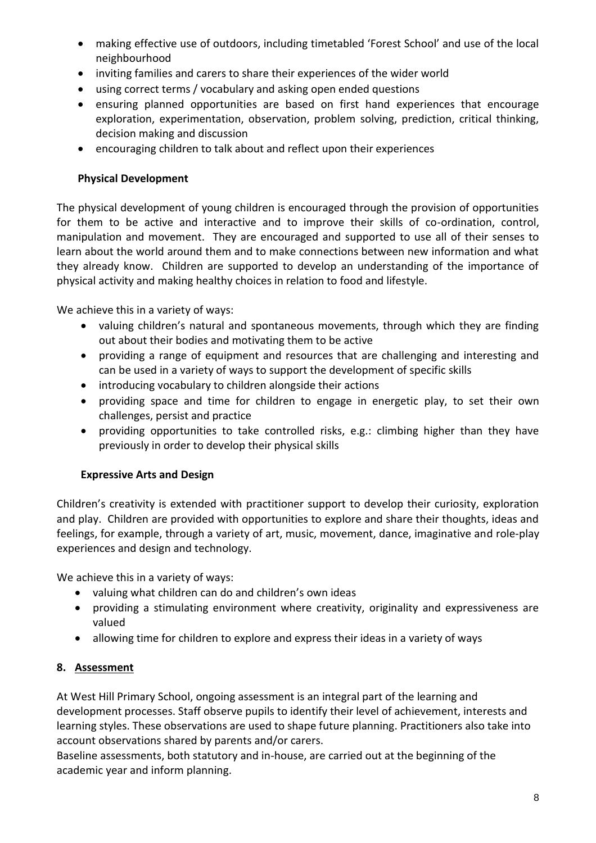- making effective use of outdoors, including timetabled 'Forest School' and use of the local neighbourhood
- inviting families and carers to share their experiences of the wider world
- using correct terms / vocabulary and asking open ended questions
- ensuring planned opportunities are based on first hand experiences that encourage exploration, experimentation, observation, problem solving, prediction, critical thinking, decision making and discussion
- encouraging children to talk about and reflect upon their experiences

#### **Physical Development**

The physical development of young children is encouraged through the provision of opportunities for them to be active and interactive and to improve their skills of co-ordination, control, manipulation and movement. They are encouraged and supported to use all of their senses to learn about the world around them and to make connections between new information and what they already know. Children are supported to develop an understanding of the importance of physical activity and making healthy choices in relation to food and lifestyle.

We achieve this in a variety of ways:

- valuing children's natural and spontaneous movements, through which they are finding out about their bodies and motivating them to be active
- providing a range of equipment and resources that are challenging and interesting and can be used in a variety of ways to support the development of specific skills
- introducing vocabulary to children alongside their actions
- providing space and time for children to engage in energetic play, to set their own challenges, persist and practice
- providing opportunities to take controlled risks, e.g.: climbing higher than they have previously in order to develop their physical skills

#### **Expressive Arts and Design**

Children's creativity is extended with practitioner support to develop their curiosity, exploration and play. Children are provided with opportunities to explore and share their thoughts, ideas and feelings, for example, through a variety of art, music, movement, dance, imaginative and role-play experiences and design and technology.

We achieve this in a variety of ways:

- valuing what children can do and children's own ideas
- providing a stimulating environment where creativity, originality and expressiveness are valued
- allowing time for children to explore and express their ideas in a variety of ways

## **8. Assessment**

At West Hill Primary School, ongoing assessment is an integral part of the learning and development processes. Staff observe pupils to identify their level of achievement, interests and learning styles. These observations are used to shape future planning. Practitioners also take into account observations shared by parents and/or carers.

Baseline assessments, both statutory and in-house, are carried out at the beginning of the academic year and inform planning.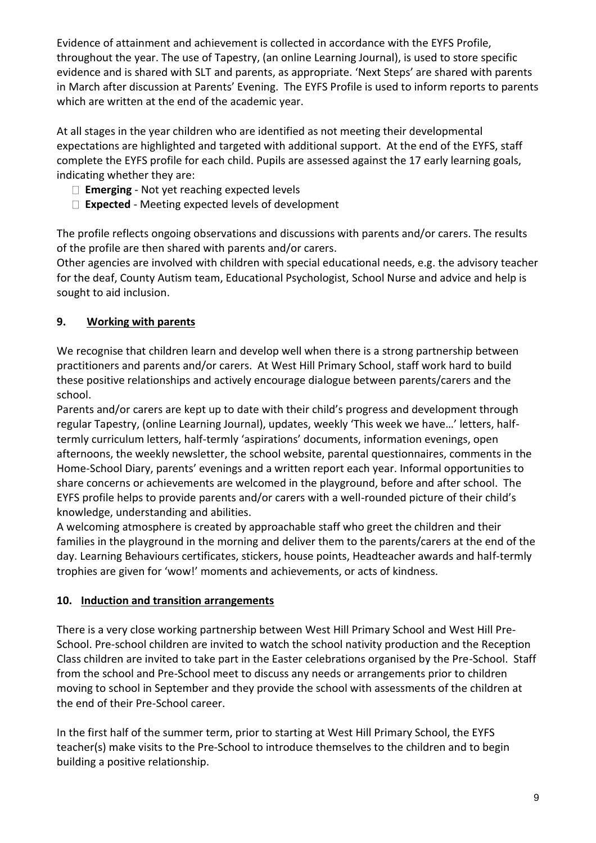Evidence of attainment and achievement is collected in accordance with the EYFS Profile, throughout the year. The use of Tapestry, (an online Learning Journal), is used to store specific evidence and is shared with SLT and parents, as appropriate. 'Next Steps' are shared with parents in March after discussion at Parents' Evening. The EYFS Profile is used to inform reports to parents which are written at the end of the academic year.

At all stages in the year children who are identified as not meeting their developmental expectations are highlighted and targeted with additional support. At the end of the EYFS, staff complete the EYFS profile for each child. Pupils are assessed against the 17 early learning goals, indicating whether they are:

- **Emerging** Not yet reaching expected levels
- **Expected** Meeting expected levels of development

The profile reflects ongoing observations and discussions with parents and/or carers. The results of the profile are then shared with parents and/or carers.

Other agencies are involved with children with special educational needs, e.g. the advisory teacher for the deaf, County Autism team, Educational Psychologist, School Nurse and advice and help is sought to aid inclusion.

# **9. Working with parents**

We recognise that children learn and develop well when there is a strong partnership between practitioners and parents and/or carers. At West Hill Primary School, staff work hard to build these positive relationships and actively encourage dialogue between parents/carers and the school.

Parents and/or carers are kept up to date with their child's progress and development through regular Tapestry, (online Learning Journal), updates, weekly 'This week we have…' letters, halftermly curriculum letters, half-termly 'aspirations' documents, information evenings, open afternoons, the weekly newsletter, the school website, parental questionnaires, comments in the Home-School Diary, parents' evenings and a written report each year. Informal opportunities to share concerns or achievements are welcomed in the playground, before and after school. The EYFS profile helps to provide parents and/or carers with a well-rounded picture of their child's knowledge, understanding and abilities.

A welcoming atmosphere is created by approachable staff who greet the children and their families in the playground in the morning and deliver them to the parents/carers at the end of the day. Learning Behaviours certificates, stickers, house points, Headteacher awards and half-termly trophies are given for 'wow!' moments and achievements, or acts of kindness.

## **10. Induction and transition arrangements**

There is a very close working partnership between West Hill Primary School and West Hill Pre-School. Pre-school children are invited to watch the school nativity production and the Reception Class children are invited to take part in the Easter celebrations organised by the Pre-School. Staff from the school and Pre-School meet to discuss any needs or arrangements prior to children moving to school in September and they provide the school with assessments of the children at the end of their Pre-School career.

In the first half of the summer term, prior to starting at West Hill Primary School, the EYFS teacher(s) make visits to the Pre-School to introduce themselves to the children and to begin building a positive relationship.